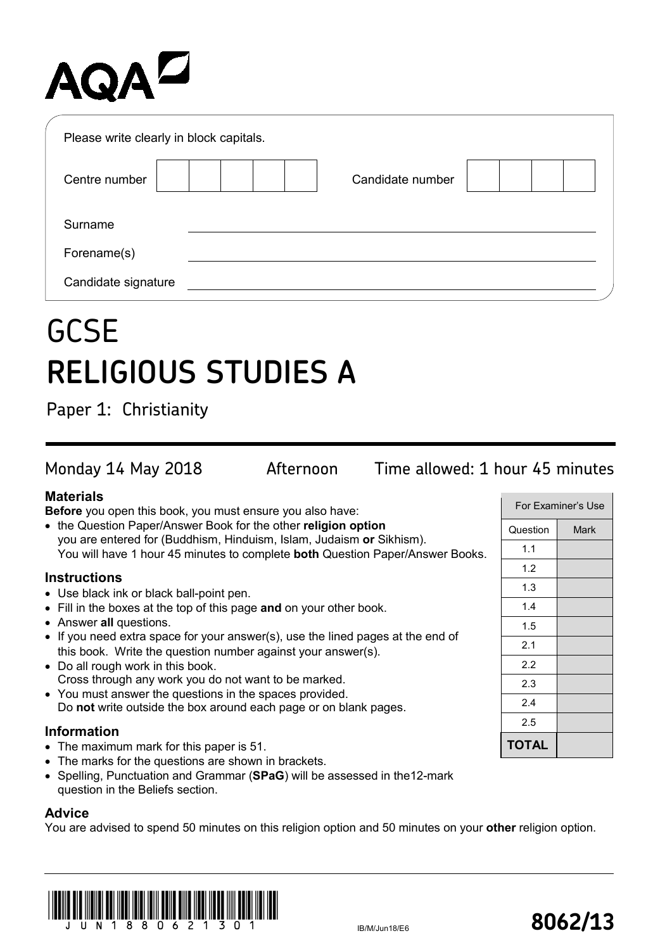# AQA<sup>D</sup>

| Please write clearly in block capitals. |  |                  |  |  |  |
|-----------------------------------------|--|------------------|--|--|--|
| Centre number                           |  | Candidate number |  |  |  |
| Surname                                 |  |                  |  |  |  |
| Forename(s)                             |  |                  |  |  |  |
| Candidate signature                     |  |                  |  |  |  |

# GCSE **RELIGIOUS STUDIES A**

Paper 1: Christianity

Monday 14 May 2018 Afternoon Time allowed: 1 hour 45 minutes

## **Materials**

**Before** you open this book, you must ensure you also have:

• the Question Paper/Answer Book for the other **religion option** you are entered for (Buddhism, Hinduism, Islam, Judaism **or** Sikhism). You will have 1 hour 45 minutes to complete **both** Question Paper/Answer Books.

#### **Instructions**

- Use black ink or black ball-point pen.
- Fill in the boxes at the top of this page **and** on your other book.
- Answer **all** questions.
- If you need extra space for your answer(s), use the lined pages at the end of this book. Write the question number against your answer(s).
- Do all rough work in this book. Cross through any work you do not want to be marked.
- You must answer the questions in the spaces provided.
- Do **not** write outside the box around each page or on blank pages.

## **Information**

- The maximum mark for this paper is 51.
- The marks for the questions are shown in brackets.
- Spelling, Punctuation and Grammar (**SPaG**) will be assessed in the12-mark question in the Beliefs section.

#### **Advice**

You are advised to spend 50 minutes on this religion option and 50 minutes on your **other** religion option.



| For Examiner's Use |      |  |
|--------------------|------|--|
| Question           | Mark |  |
| 1.1                |      |  |
| 1.2                |      |  |
| 1.3                |      |  |
| 1.4                |      |  |
| 1.5                |      |  |
| 2.1                |      |  |
| 2.2                |      |  |
| 2.3                |      |  |
| 2.4                |      |  |
| 2.5                |      |  |
| <b>TOTAL</b>       |      |  |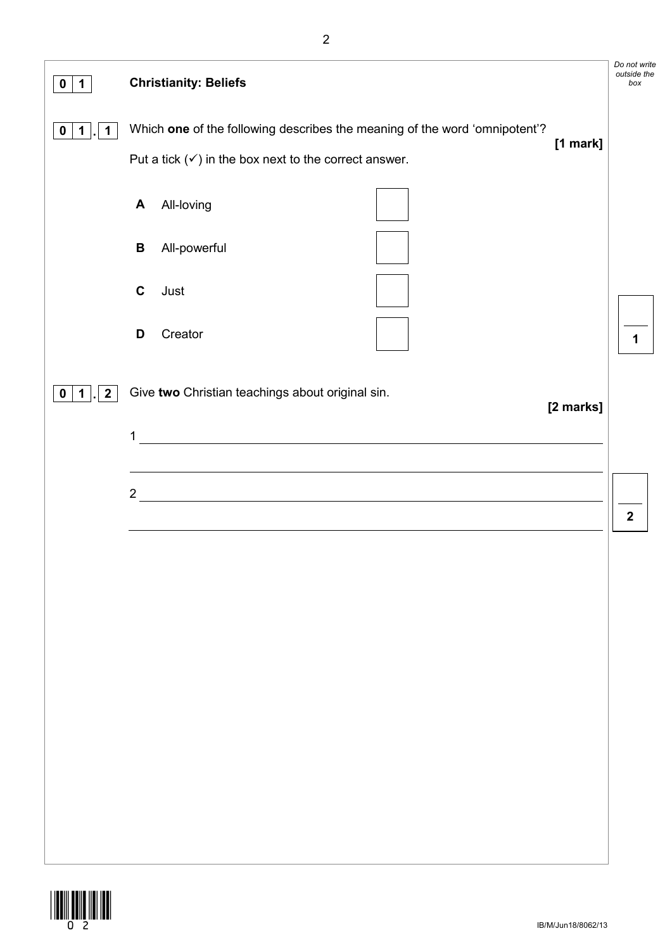| $\mathbf 0$<br>$\mathbf 1$             | <b>Christianity: Beliefs</b>                                                                                                                               | Do not write<br>outside the<br>box |
|----------------------------------------|------------------------------------------------------------------------------------------------------------------------------------------------------------|------------------------------------|
| $\mathbf 1$<br>0<br>1                  | Which one of the following describes the meaning of the word 'omnipotent'?<br>[1 mark]<br>Put a tick $(\checkmark)$ in the box next to the correct answer. |                                    |
|                                        | All-loving<br>A                                                                                                                                            |                                    |
|                                        | All-powerful<br>B                                                                                                                                          |                                    |
|                                        | $\mathbf c$<br>Just                                                                                                                                        |                                    |
|                                        | Creator<br>D                                                                                                                                               | 1                                  |
| $\overline{2}$<br>$1$ .<br>$\mathbf 0$ | Give two Christian teachings about original sin.<br>[2 marks]                                                                                              |                                    |
|                                        | <u> 1980 - Jan Samuel Barbara, martin da shekara 1980 - An tsara 1980 - An tsara 1980 - An tsara 1980 - An tsara</u><br>1                                  |                                    |
|                                        |                                                                                                                                                            |                                    |
|                                        |                                                                                                                                                            | $\boldsymbol{2}$                   |
|                                        |                                                                                                                                                            |                                    |
|                                        |                                                                                                                                                            |                                    |
|                                        |                                                                                                                                                            |                                    |
|                                        |                                                                                                                                                            |                                    |
|                                        |                                                                                                                                                            |                                    |
|                                        |                                                                                                                                                            |                                    |
|                                        |                                                                                                                                                            |                                    |

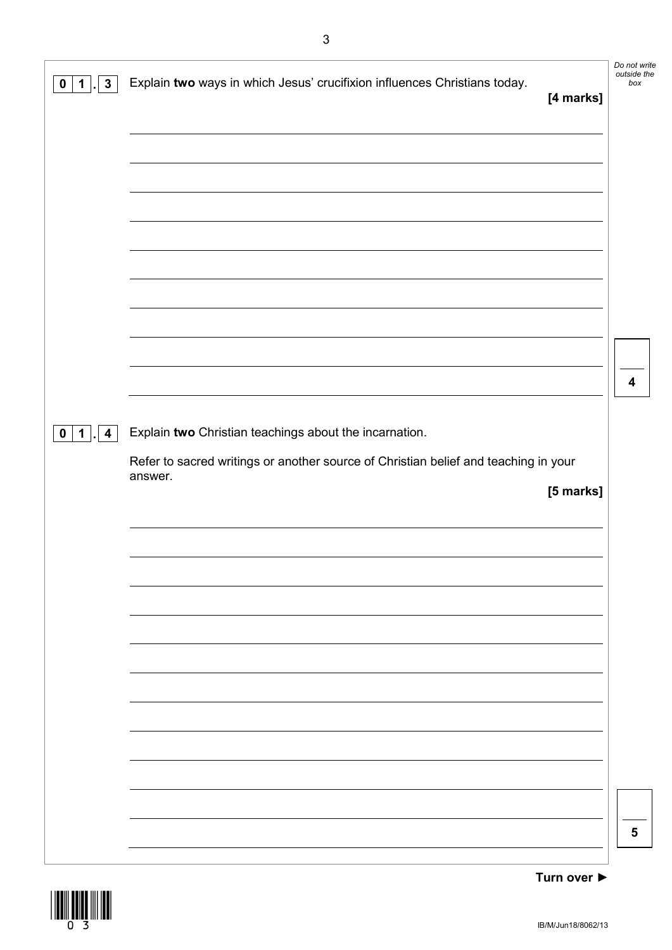| $\mathbf{3}$<br>0<br>1                                 | Explain two ways in which Jesus' crucifixion influences Christians today.<br>[4 marks] | Do not write<br>outside the<br>box |
|--------------------------------------------------------|----------------------------------------------------------------------------------------|------------------------------------|
|                                                        |                                                                                        |                                    |
|                                                        |                                                                                        |                                    |
|                                                        |                                                                                        |                                    |
|                                                        |                                                                                        |                                    |
|                                                        |                                                                                        |                                    |
|                                                        |                                                                                        |                                    |
|                                                        |                                                                                        |                                    |
|                                                        |                                                                                        |                                    |
|                                                        |                                                                                        |                                    |
|                                                        |                                                                                        | 4                                  |
|                                                        |                                                                                        |                                    |
| $\overline{\mathbf{4}}$<br>$\mathbf{1}$<br>$\mathbf 0$ | Explain two Christian teachings about the incarnation.                                 |                                    |
|                                                        | Refer to sacred writings or another source of Christian belief and teaching in your    |                                    |
|                                                        | answer.                                                                                |                                    |
|                                                        | [5 marks]                                                                              |                                    |
|                                                        |                                                                                        |                                    |
|                                                        |                                                                                        |                                    |
|                                                        |                                                                                        |                                    |
|                                                        |                                                                                        |                                    |
|                                                        |                                                                                        |                                    |
|                                                        |                                                                                        |                                    |
|                                                        |                                                                                        |                                    |
|                                                        |                                                                                        |                                    |
|                                                        |                                                                                        |                                    |
|                                                        |                                                                                        |                                    |
|                                                        |                                                                                        |                                    |
|                                                        |                                                                                        | 5                                  |
|                                                        |                                                                                        |                                    |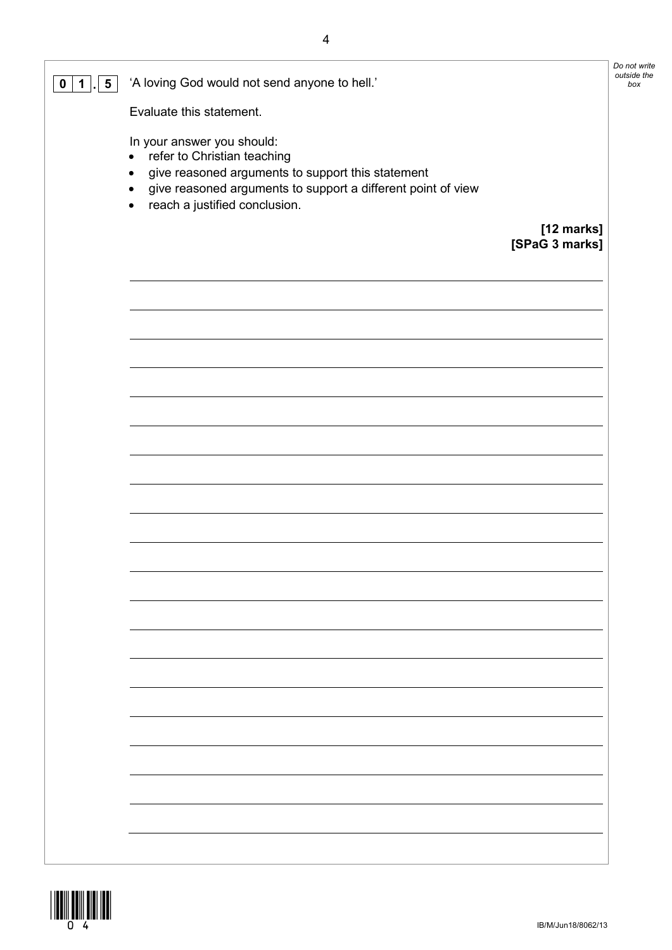| 0<br>$5\phantom{.0}$<br>$\mathbf 1$ | 'A loving God would not send anyone to hell.'                                                                                                                                                                                                               |                              | Do not<br>outside<br>bo> |
|-------------------------------------|-------------------------------------------------------------------------------------------------------------------------------------------------------------------------------------------------------------------------------------------------------------|------------------------------|--------------------------|
|                                     | Evaluate this statement.                                                                                                                                                                                                                                    |                              |                          |
|                                     | In your answer you should:<br>refer to Christian teaching<br>$\bullet$<br>give reasoned arguments to support this statement<br>٠<br>give reasoned arguments to support a different point of view<br>$\bullet$<br>reach a justified conclusion.<br>$\bullet$ |                              |                          |
|                                     |                                                                                                                                                                                                                                                             | [12 marks]<br>[SPaG 3 marks] |                          |
|                                     |                                                                                                                                                                                                                                                             |                              |                          |
|                                     |                                                                                                                                                                                                                                                             |                              |                          |
|                                     |                                                                                                                                                                                                                                                             |                              |                          |
|                                     |                                                                                                                                                                                                                                                             |                              |                          |
|                                     |                                                                                                                                                                                                                                                             |                              |                          |
|                                     |                                                                                                                                                                                                                                                             |                              |                          |
|                                     |                                                                                                                                                                                                                                                             |                              |                          |
|                                     |                                                                                                                                                                                                                                                             |                              |                          |
|                                     |                                                                                                                                                                                                                                                             |                              |                          |
|                                     |                                                                                                                                                                                                                                                             |                              |                          |
|                                     |                                                                                                                                                                                                                                                             |                              |                          |
|                                     |                                                                                                                                                                                                                                                             |                              |                          |
|                                     |                                                                                                                                                                                                                                                             |                              |                          |

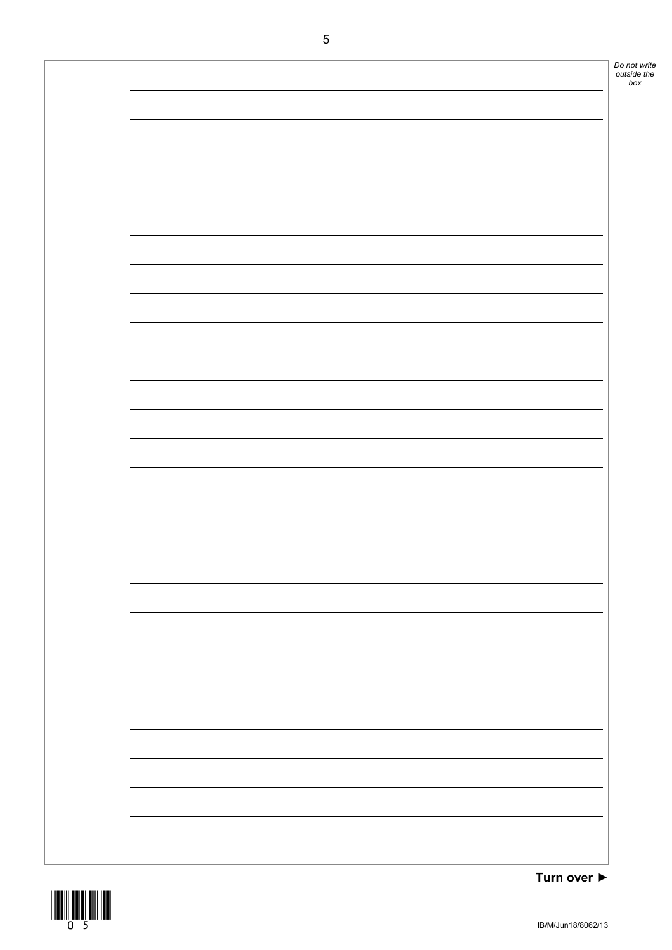



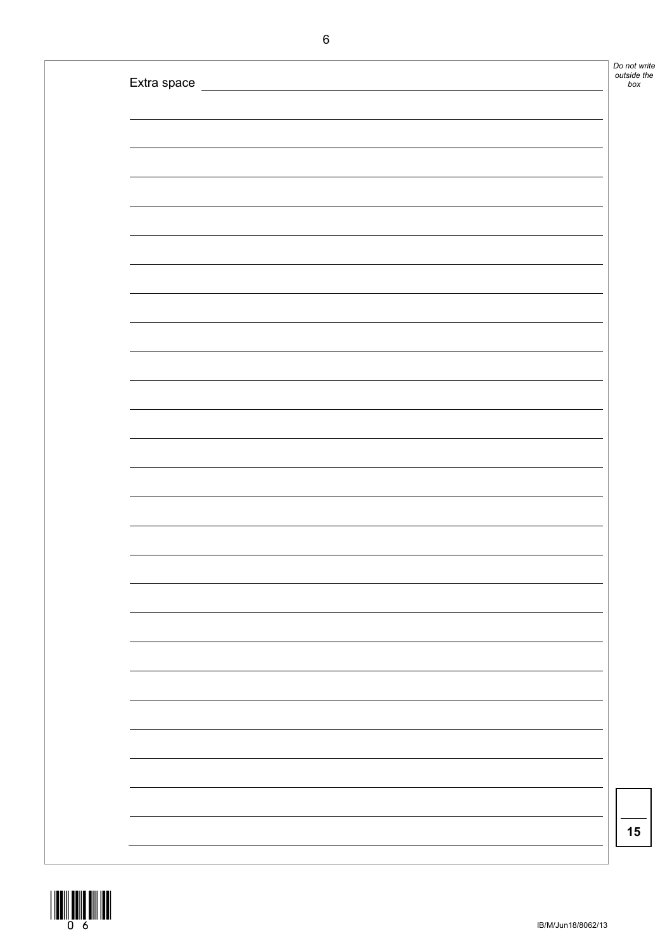|  | Do not write<br>outside the<br>box |
|--|------------------------------------|
|  |                                    |
|  |                                    |
|  |                                    |
|  |                                    |
|  |                                    |
|  |                                    |
|  |                                    |
|  |                                    |
|  |                                    |
|  |                                    |
|  |                                    |
|  |                                    |
|  |                                    |
|  |                                    |
|  |                                    |
|  |                                    |
|  |                                    |
|  |                                    |
|  |                                    |
|  |                                    |
|  |                                    |
|  |                                    |
|  |                                    |
|  |                                    |
|  |                                    |
|  | 15                                 |

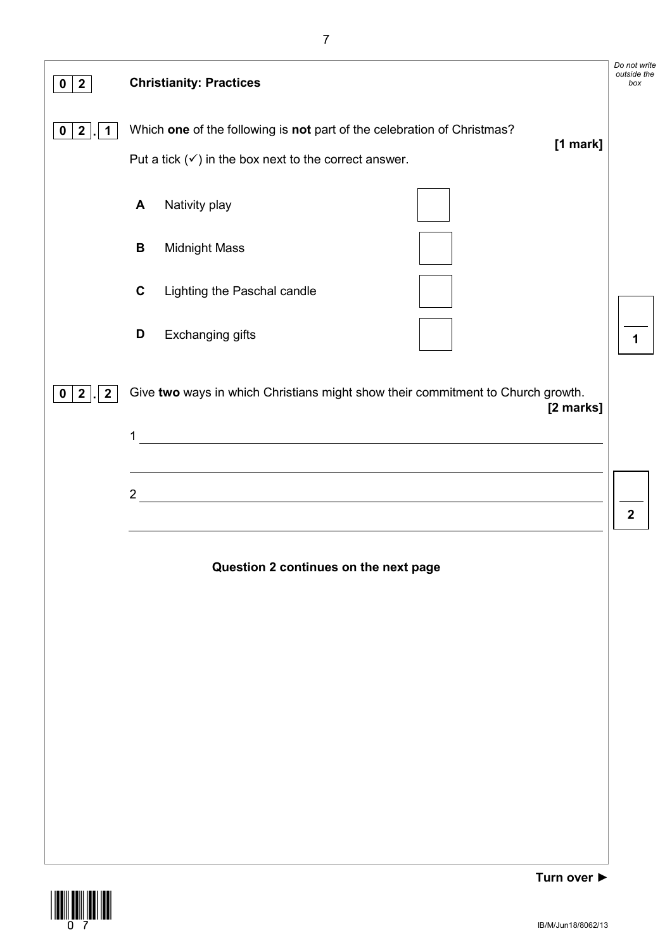| $\boldsymbol{2}$<br>$\mathbf 0$                        | <b>Christianity: Practices</b>                                                                                                                          | Do not write<br>outside the<br>box |
|--------------------------------------------------------|---------------------------------------------------------------------------------------------------------------------------------------------------------|------------------------------------|
| $\mathbf{2}$<br>$\mathbf 0$<br>$\mathbf 1$             | Which one of the following is not part of the celebration of Christmas?<br>[1 mark]<br>Put a tick $(\checkmark)$ in the box next to the correct answer. |                                    |
|                                                        | Nativity play<br>A                                                                                                                                      |                                    |
|                                                        | <b>Midnight Mass</b><br>B                                                                                                                               |                                    |
|                                                        | $\mathbf c$<br>Lighting the Paschal candle                                                                                                              |                                    |
|                                                        | Exchanging gifts<br>D                                                                                                                                   | 1                                  |
| $\mathbf{2}$<br>$\overline{\mathbf{2}}$<br>$\mathbf 0$ | Give two ways in which Christians might show their commitment to Church growth.<br>[2 marks]                                                            |                                    |
|                                                        | <u> 1989 - Johann Stoff, deutscher Stoffen und der Stoffen und der Stoffen und der Stoffen und der Stoffen und der</u><br>1                             |                                    |
|                                                        | <u> 1989 - Johann Stoff, fransk politik (d. 1989)</u><br>2 <sup>1</sup>                                                                                 | $\boldsymbol{2}$                   |
|                                                        | Question 2 continues on the next page                                                                                                                   |                                    |
|                                                        |                                                                                                                                                         |                                    |
|                                                        |                                                                                                                                                         |                                    |
|                                                        |                                                                                                                                                         |                                    |
|                                                        |                                                                                                                                                         |                                    |
|                                                        |                                                                                                                                                         |                                    |
|                                                        |                                                                                                                                                         |                                    |

7

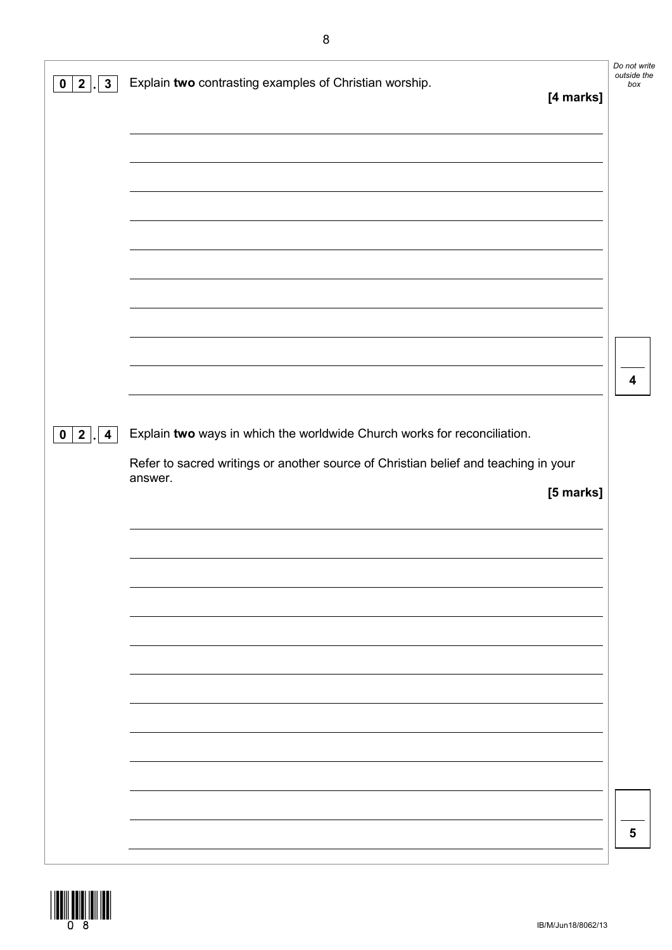| $\mathbf{2}$<br>$\mathbf{3}$<br>0          | Explain two contrasting examples of Christian worship.<br>[4 marks]                                                                                             | Do not write<br>outside the<br>box |
|--------------------------------------------|-----------------------------------------------------------------------------------------------------------------------------------------------------------------|------------------------------------|
|                                            |                                                                                                                                                                 |                                    |
|                                            |                                                                                                                                                                 | 4                                  |
| $0 \mid 2 \mid$<br>$\overline{\mathbf{4}}$ | Explain two ways in which the worldwide Church works for reconciliation.<br>Refer to sacred writings or another source of Christian belief and teaching in your |                                    |
|                                            | answer.<br>[5 marks]                                                                                                                                            |                                    |
|                                            |                                                                                                                                                                 |                                    |
|                                            |                                                                                                                                                                 |                                    |
|                                            |                                                                                                                                                                 |                                    |
|                                            |                                                                                                                                                                 |                                    |
|                                            |                                                                                                                                                                 |                                    |
|                                            |                                                                                                                                                                 |                                    |
|                                            |                                                                                                                                                                 |                                    |
|                                            |                                                                                                                                                                 |                                    |
|                                            |                                                                                                                                                                 |                                    |
|                                            |                                                                                                                                                                 |                                    |
|                                            |                                                                                                                                                                 | 5                                  |
|                                            |                                                                                                                                                                 |                                    |

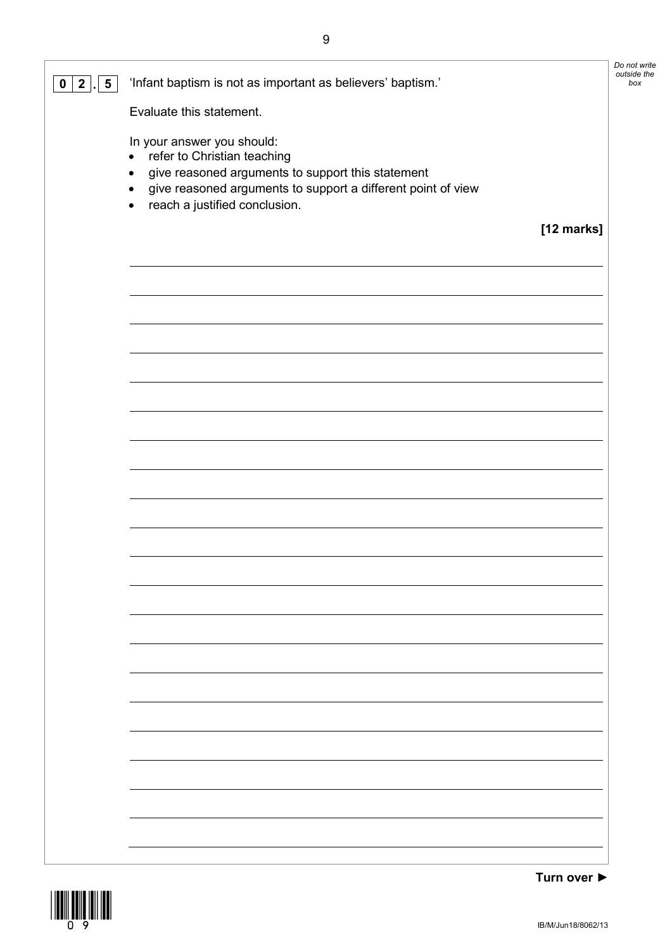| 5 <sub>5</sub><br>$\mathbf{2}$ | 'Infant baptism is not as important as believers' baptism.'                                                                                                                                                                                                         | Do not write<br>outside the<br>box |
|--------------------------------|---------------------------------------------------------------------------------------------------------------------------------------------------------------------------------------------------------------------------------------------------------------------|------------------------------------|
|                                | Evaluate this statement.                                                                                                                                                                                                                                            |                                    |
|                                | In your answer you should:<br>refer to Christian teaching<br>$\bullet$<br>give reasoned arguments to support this statement<br>$\bullet$<br>give reasoned arguments to support a different point of view<br>$\bullet$<br>reach a justified conclusion.<br>$\bullet$ |                                    |
|                                | [12 marks]                                                                                                                                                                                                                                                          |                                    |
|                                |                                                                                                                                                                                                                                                                     |                                    |
|                                |                                                                                                                                                                                                                                                                     |                                    |
|                                |                                                                                                                                                                                                                                                                     |                                    |
|                                |                                                                                                                                                                                                                                                                     |                                    |
|                                |                                                                                                                                                                                                                                                                     |                                    |
|                                |                                                                                                                                                                                                                                                                     |                                    |
|                                |                                                                                                                                                                                                                                                                     |                                    |
|                                |                                                                                                                                                                                                                                                                     |                                    |
|                                |                                                                                                                                                                                                                                                                     |                                    |
|                                |                                                                                                                                                                                                                                                                     |                                    |
|                                |                                                                                                                                                                                                                                                                     |                                    |
|                                |                                                                                                                                                                                                                                                                     |                                    |
|                                |                                                                                                                                                                                                                                                                     |                                    |
|                                |                                                                                                                                                                                                                                                                     |                                    |
|                                |                                                                                                                                                                                                                                                                     |                                    |
|                                |                                                                                                                                                                                                                                                                     |                                    |
|                                |                                                                                                                                                                                                                                                                     |                                    |
|                                |                                                                                                                                                                                                                                                                     |                                    |
|                                |                                                                                                                                                                                                                                                                     |                                    |
|                                |                                                                                                                                                                                                                                                                     |                                    |
|                                |                                                                                                                                                                                                                                                                     |                                    |
|                                |                                                                                                                                                                                                                                                                     |                                    |

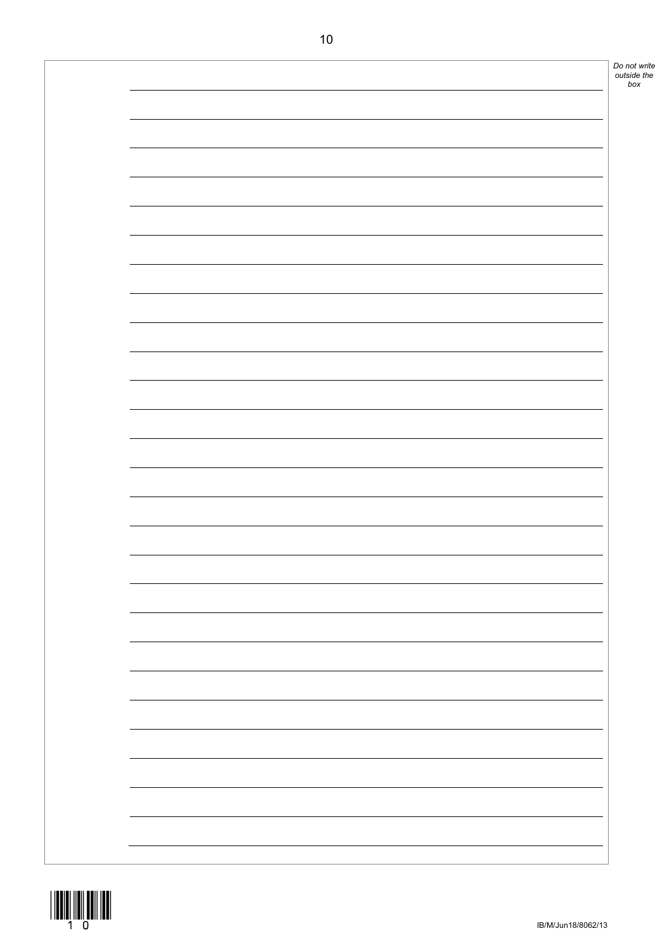

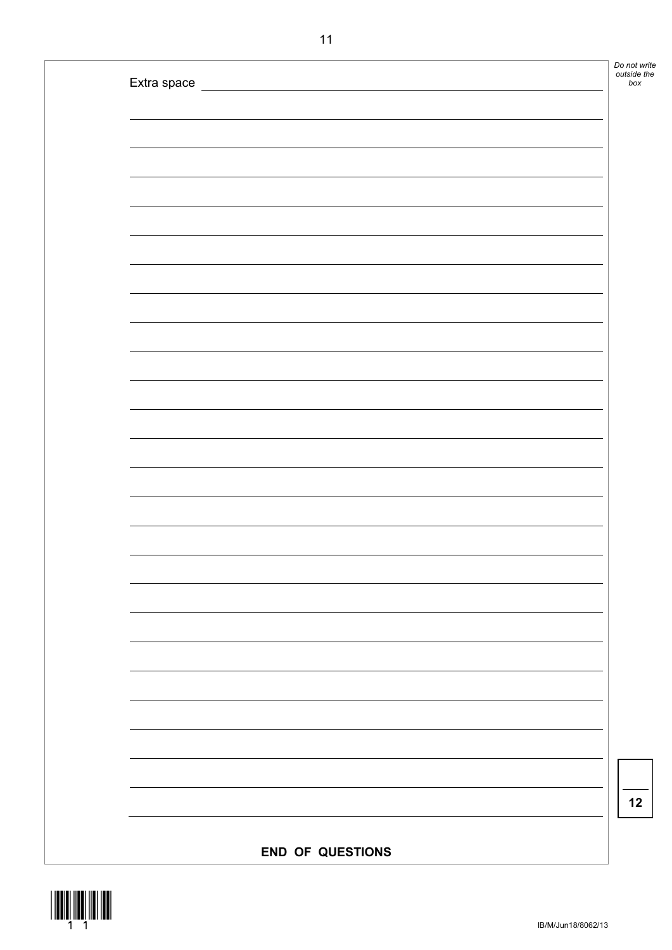|                         | Do not write<br>outside the<br>$box$ |
|-------------------------|--------------------------------------|
|                         |                                      |
|                         |                                      |
|                         |                                      |
|                         |                                      |
|                         |                                      |
|                         |                                      |
|                         |                                      |
|                         |                                      |
|                         |                                      |
|                         |                                      |
|                         |                                      |
|                         |                                      |
|                         |                                      |
|                         |                                      |
|                         |                                      |
|                         |                                      |
|                         |                                      |
|                         |                                      |
|                         |                                      |
|                         |                                      |
|                         |                                      |
|                         |                                      |
|                         |                                      |
|                         | 12                                   |
| <b>END OF QUESTIONS</b> |                                      |
|                         |                                      |

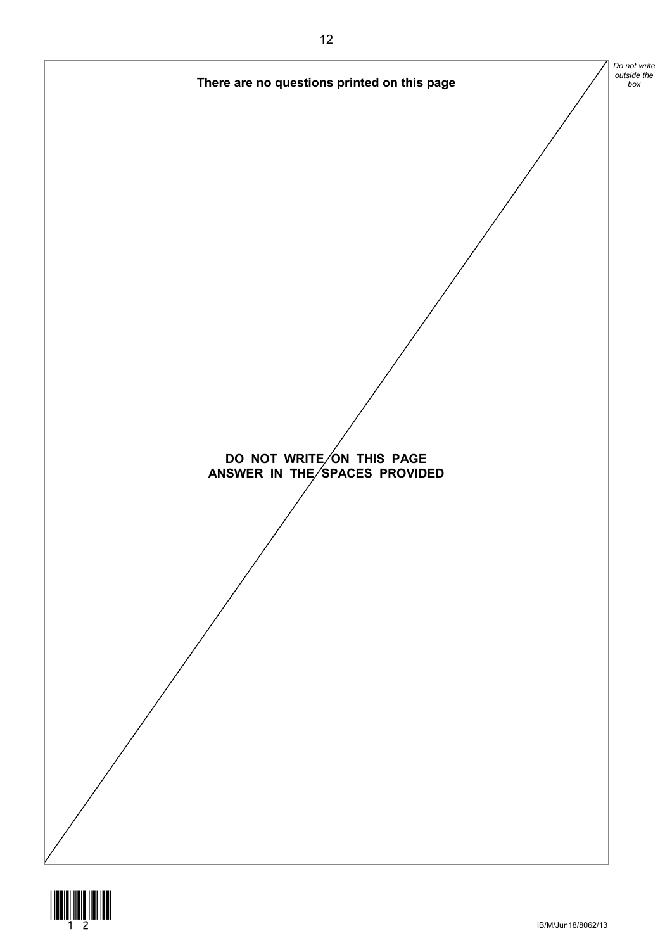

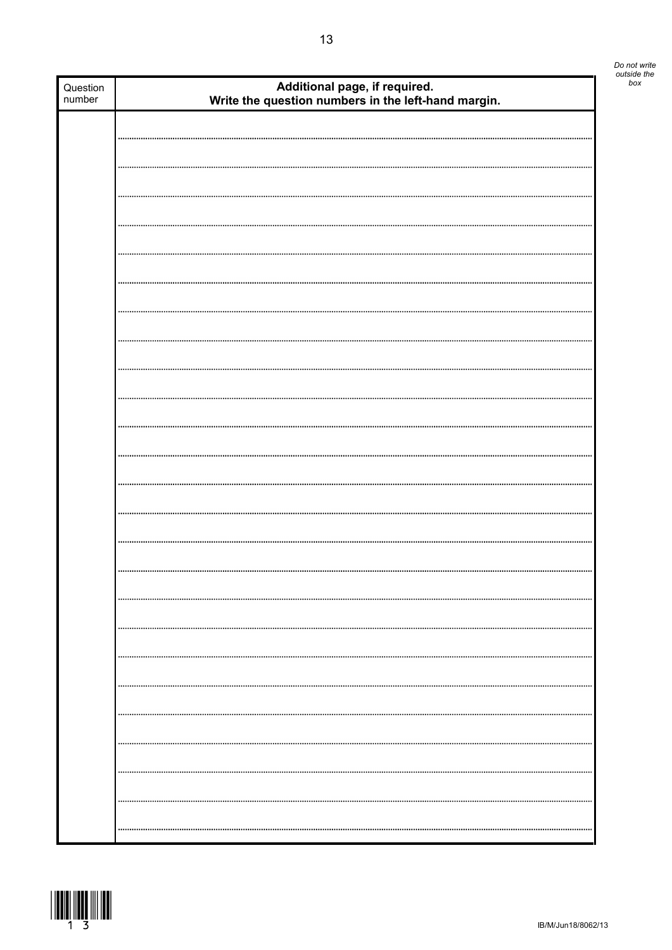| Question<br>number | Additional page, if required.<br>Write the question numbers in the left-hand margin. | bo |
|--------------------|--------------------------------------------------------------------------------------|----|
|                    |                                                                                      |    |
|                    |                                                                                      |    |
|                    |                                                                                      |    |
|                    |                                                                                      |    |
|                    |                                                                                      |    |
|                    |                                                                                      |    |
|                    |                                                                                      |    |
|                    |                                                                                      |    |
|                    |                                                                                      |    |
|                    |                                                                                      |    |
|                    |                                                                                      |    |
|                    |                                                                                      |    |
|                    |                                                                                      |    |
|                    |                                                                                      |    |
|                    |                                                                                      |    |
|                    |                                                                                      |    |
|                    |                                                                                      |    |
|                    |                                                                                      |    |
|                    |                                                                                      |    |
|                    |                                                                                      |    |
|                    |                                                                                      |    |
|                    |                                                                                      |    |
|                    |                                                                                      |    |
|                    |                                                                                      |    |
|                    |                                                                                      |    |
|                    |                                                                                      |    |
|                    |                                                                                      |    |
|                    |                                                                                      |    |
|                    |                                                                                      |    |
|                    |                                                                                      |    |
|                    |                                                                                      |    |
|                    |                                                                                      |    |
|                    |                                                                                      |    |
|                    |                                                                                      |    |
|                    |                                                                                      |    |
|                    |                                                                                      |    |
|                    |                                                                                      |    |
|                    |                                                                                      |    |
|                    |                                                                                      |    |

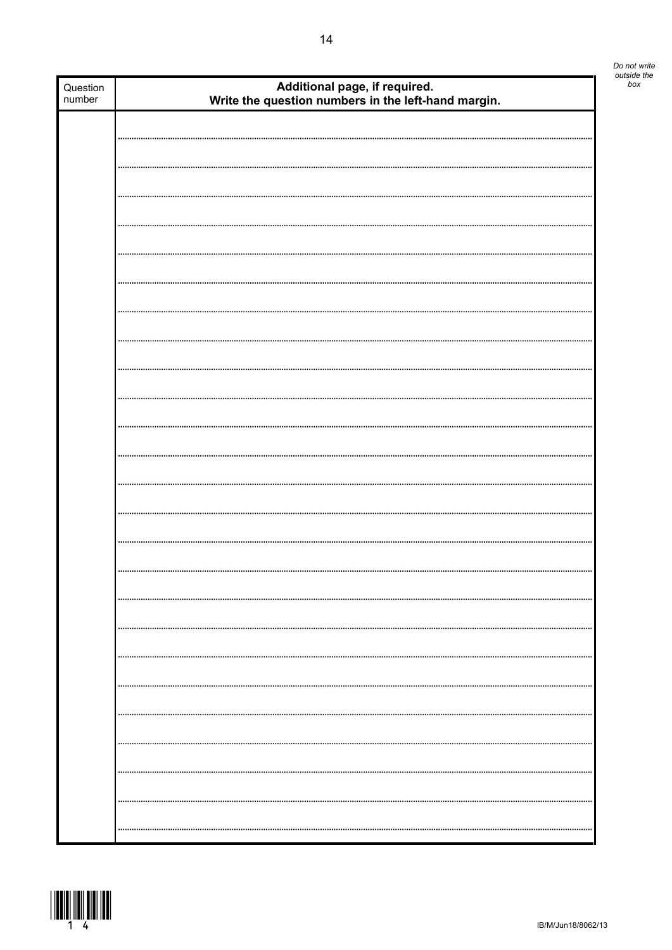| Question<br>number | Additional page, if required.<br>Write the question numbers in the left-hand margin. | <b><i><u><u>UULSIUT</u></u></i></b><br>bo |
|--------------------|--------------------------------------------------------------------------------------|-------------------------------------------|
|                    |                                                                                      |                                           |
|                    |                                                                                      |                                           |
|                    |                                                                                      |                                           |
|                    |                                                                                      |                                           |
|                    |                                                                                      |                                           |
|                    |                                                                                      |                                           |
|                    |                                                                                      |                                           |
|                    |                                                                                      |                                           |
|                    |                                                                                      |                                           |
|                    |                                                                                      |                                           |
|                    |                                                                                      |                                           |
|                    |                                                                                      |                                           |
|                    |                                                                                      |                                           |
|                    |                                                                                      |                                           |
|                    |                                                                                      |                                           |
|                    |                                                                                      |                                           |
|                    |                                                                                      |                                           |
|                    |                                                                                      |                                           |
|                    |                                                                                      |                                           |
|                    |                                                                                      |                                           |
|                    |                                                                                      |                                           |
|                    |                                                                                      |                                           |
|                    |                                                                                      |                                           |
|                    |                                                                                      |                                           |
|                    |                                                                                      |                                           |
|                    |                                                                                      |                                           |
|                    |                                                                                      |                                           |
|                    |                                                                                      |                                           |
|                    |                                                                                      |                                           |
|                    |                                                                                      |                                           |
|                    |                                                                                      |                                           |
|                    |                                                                                      |                                           |
|                    |                                                                                      |                                           |
|                    |                                                                                      |                                           |
|                    |                                                                                      |                                           |

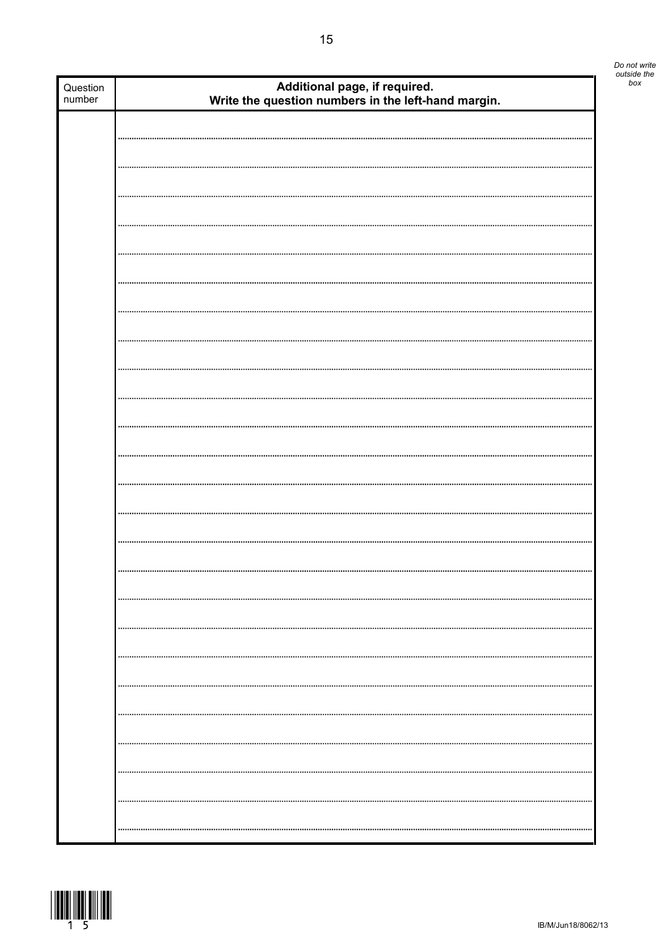| Question<br>number | Additional page, if required.<br>Write the question numbers in the left-hand margin. | bo |
|--------------------|--------------------------------------------------------------------------------------|----|
|                    |                                                                                      |    |
|                    |                                                                                      |    |
|                    |                                                                                      |    |
|                    |                                                                                      |    |
|                    |                                                                                      |    |
|                    |                                                                                      |    |
|                    |                                                                                      |    |
|                    |                                                                                      |    |
|                    |                                                                                      |    |
|                    |                                                                                      |    |
|                    |                                                                                      |    |
|                    |                                                                                      |    |
|                    |                                                                                      |    |
|                    |                                                                                      |    |
|                    |                                                                                      |    |
|                    |                                                                                      |    |
|                    |                                                                                      |    |
|                    |                                                                                      |    |
|                    |                                                                                      |    |
|                    |                                                                                      |    |
|                    |                                                                                      |    |
|                    |                                                                                      |    |
|                    |                                                                                      |    |
|                    |                                                                                      |    |
|                    |                                                                                      |    |
|                    |                                                                                      |    |
|                    |                                                                                      |    |
|                    |                                                                                      |    |
|                    |                                                                                      |    |
|                    |                                                                                      |    |
|                    |                                                                                      |    |
|                    |                                                                                      |    |